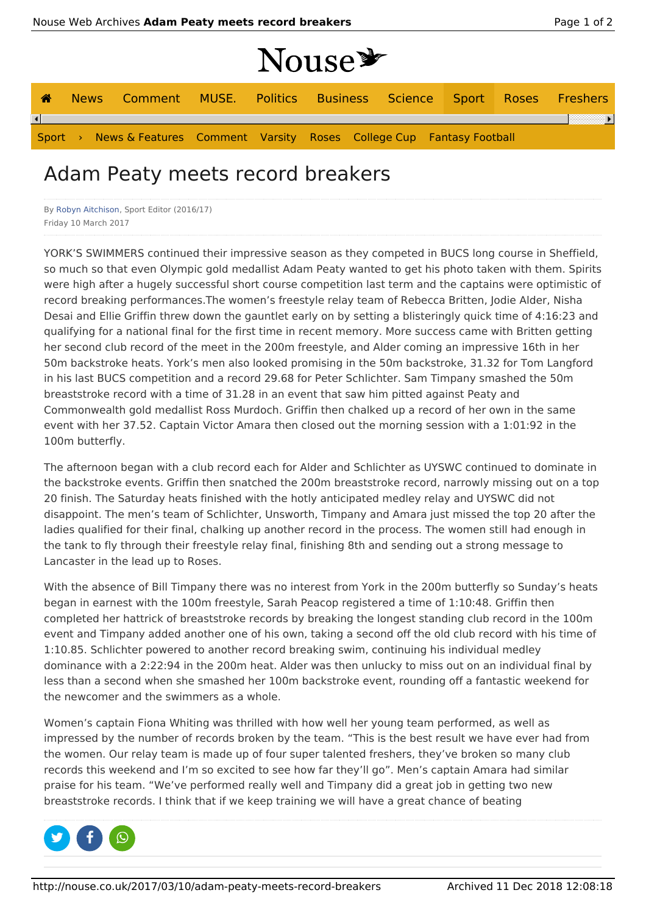⊪

|  |                                                                            |  | Nouse * |  |  |
|--|----------------------------------------------------------------------------|--|---------|--|--|
|  | <b>A</b> News Comment MUSE. Politics Business Science Sport Roses Freshers |  |         |  |  |

 $\left| \bullet \right|$ Sport › News & Features Comment Varsity Roses College Cup Fantasy Football

## Adam Peaty meets record breakers

By Robyn Aitchison, Sport Editor (2016/17) Friday 10 March 2017

YORK'S SWIMMERS continued their impressive season as they competed in BUCS long course in Sheffield, so much so that even Olympic gold medallist Adam Peaty wanted to get his photo taken with them. Spirits were high after a hugely successful short course competition last term and the captains were optimistic of record breaking performances.The women's freestyle relay team of Rebecca Britten, Jodie Alder, Nisha Desai and Ellie Griffin threw down the gauntlet early on by setting a blisteringly quick time of 4:16:23 and qualifying for a national final for the first time in recent memory. More success came with Britten getting her second club record of the meet in the 200m freestyle, and Alder coming an impressive 16th in her 50m backstroke heats. York's men also looked promising in the 50m backstroke, 31.32 for Tom Langford in his last BUCS competition and a record 29.68 for Peter Schlichter. Sam Timpany smashed the 50m breaststroke record with a time of 31.28 in an event that saw him pitted against Peaty and Commonwealth gold medallist Ross Murdoch. Griffin then chalked up a record of her own in the same event with her 37.52. Captain Victor Amara then closed out the morning session with a 1:01:92 in the 100m butterfly.

The afternoon began with a club record each for Alder and Schlichter as UYSWC continued to dominate in the backstroke events. Griffin then snatched the 200m breaststroke record, narrowly missing out on a top 20 finish. The Saturday heats finished with the hotly anticipated medley relay and UYSWC did not disappoint. The men's team of Schlichter, Unsworth, Timpany and Amara just missed the top 20 after the ladies qualified for their final, chalking up another record in the process. The women still had enough in the tank to fly through their freestyle relay final, finishing 8th and sending out a strong message to Lancaster in the lead up to Roses.

With the absence of Bill Timpany there was no interest from York in the 200m butterfly so Sunday's heats began in earnest with the 100m freestyle, Sarah Peacop registered a time of 1:10:48. Griffin then completed her hattrick of breaststroke records by breaking the longest standing club record in the 100m event and Timpany added another one of his own, taking a second off the old club record with his time of 1:10.85. Schlichter powered to another record breaking swim, continuing his individual medley dominance with a 2:22:94 in the 200m heat. Alder was then unlucky to miss out on an individual final by less than a second when she smashed her 100m backstroke event, rounding off a fantastic weekend for the newcomer and the swimmers as a whole.

Women's captain Fiona Whiting was thrilled with how well her young team performed, as well as impressed by the number of records broken by the team. "This is the best result we have ever had from the women. Our relay team is made up of four super talented freshers, they've broken so many club records this weekend and I'm so excited to see how far they'll go". Men's captain Amara had similar praise for his team. "We've performed really well and Timpany did a great job in getting two new breaststroke records. I think that if we keep training we will have a great chance of beating